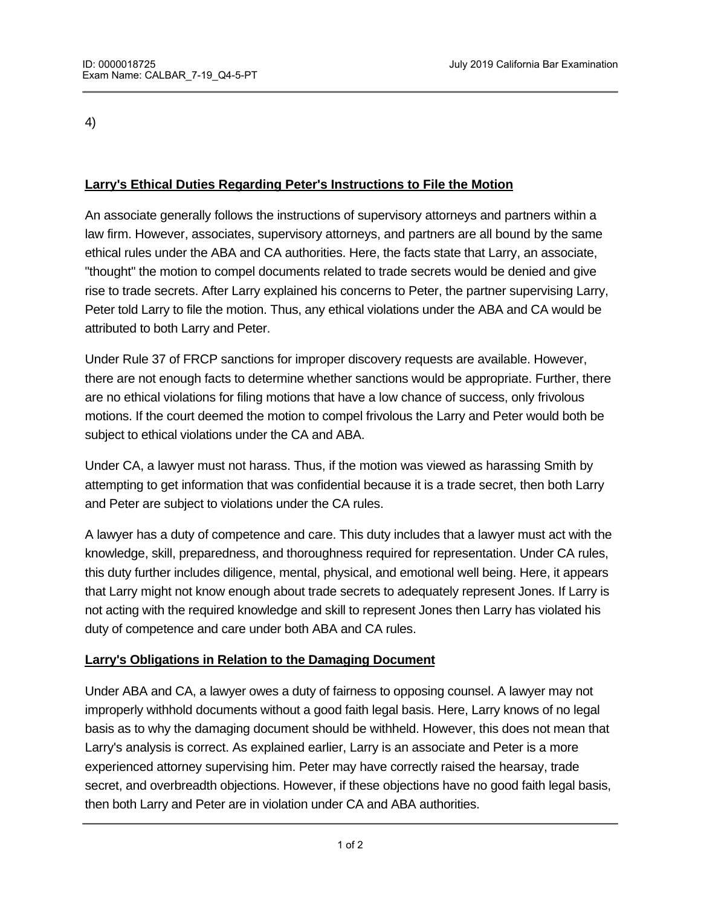4)

## **Larry's Ethical Duties Regarding Peter's Instructions to File the Motion**

An associate generally follows the instructions of supervisory attorneys and partners within a law firm. However, associates, supervisory attorneys, and partners are all bound by the same ethical rules under the ABA and CA authorities. Here, the facts state that Larry, an associate, "thought" the motion to compel documents related to trade secrets would be denied and give rise to trade secrets. After Larry explained his concerns to Peter, the partner supervising Larry, Peter told Larry to file the motion. Thus, any ethical violations under the ABA and CA would be attributed to both Larry and Peter.

Under Rule 37 of FRCP sanctions for improper discovery requests are available. However, there are not enough facts to determine whether sanctions would be appropriate. Further, there are no ethical violations for filing motions that have a low chance of success, only frivolous motions. If the court deemed the motion to compel frivolous the Larry and Peter would both be subject to ethical violations under the CA and ABA.

Under CA, a lawyer must not harass. Thus, if the motion was viewed as harassing Smith by attempting to get information that was confidential because it is a trade secret, then both Larry and Peter are subject to violations under the CA rules.

A lawyer has a duty of competence and care. This duty includes that a lawyer must act with the knowledge, skill, preparedness, and thoroughness required for representation. Under CA rules, this duty further includes diligence, mental, physical, and emotional well being. Here, it appears that Larry might not know enough about trade secrets to adequately represent Jones. If Larry is not acting with the required knowledge and skill to represent Jones then Larry has violated his duty of competence and care under both ABA and CA rules.

## **Larry's Obligations in Relation to the Damaging Document**

Under ABA and CA, a lawyer owes a duty of fairness to opposing counsel. A lawyer may not improperly withhold documents without a good faith legal basis. Here, Larry knows of no legal basis as to why the damaging document should be withheld. However, this does not mean that Larry's analysis is correct. As explained earlier, Larry is an associate and Peter is a more experienced attorney supervising him. Peter may have correctly raised the hearsay, trade secret, and overbreadth objections. However, if these objections have no good faith legal basis, then both Larry and Peter are in violation under CA and ABA authorities.